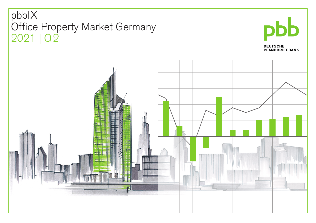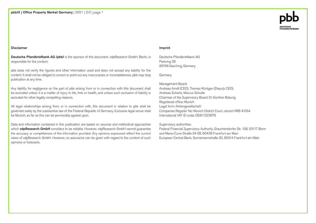## Disclaimer

Deutsche Pfandbriefbank AG (pbb) is the sponsor of this document. vdpResearch GmbH, Berlin, is responsible for the content.

pbb does not verify the figures and other information used and does not accept any liability for the content. It shall not be obliged to correct or point out any inaccuracies or incompleteness. pbb may stop publication at any time.

Any liability for negligence on the part of pbb arising from or in connection with this document shall be excluded unless it is a matter of injury to life, limb or health, and unless such exclusion of liability is excluded for other legally compelling reasons.

All legal relationships arising from, or in connection with, this document in relation to pbb shall be governed solely by the substantive law of the Federal Republic of Germany. Exclusive legal venue shall be Munich, as far as this can be permissibly agreed upon.

Data and information contained in this publication are based on sources and methodical approaches which vdpResearch GmbH considers to be reliable. However, vdpResearch GmbH cannot guarantee the accuracy or completeness of the information provided. Any opinions expressed reflect the current views of vdpResearch GmbH. However, no assurance can be given with regard to the content of such opinions or forecasts.

## Imprint

Deutsche Pfandbriefbank AG Parkring 28 85748 Garching, Germany

Germany

Management Board: Andreas Arndt (CEO), Thomas Köntgen (Deputy CEO), Andreas Schenk, Marcus Schulte Chairman of the Supervisory Board: Dr Günther Bräunig Registered office: Munich Legal form: Aktiengesellschaft Companies Register No: Munich District Court, record HRB 41054 International VAT ID code: DE811223976

Supervisory authorities:

Federal Financial Supervisory Authority, Graurheindorfer Str. 108, 53117 Bonn and Marie-Curie-Straße 24-28, 60439 Frankfurt am Main European Central Bank, Sonnemannstraße 20, 60314 Frankfurt am Main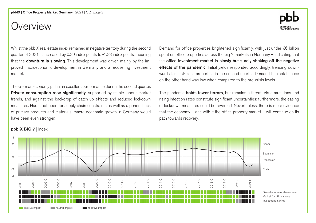pbbIX | Office Property Market Germany | 2021 | Q2 | page 2

## Overview

Whilst the pbbIX real estate index remained in negative territory during the second quarter of 2021, it increased by 0.29 index points to -1.23 index points, meaning that the **downturn is slowing**. This development was driven mainly by the improved macroeconomic development in Germany and a recovering investment market.

The German economy put in an excellent performance during the second quarter. Private consumption rose significantly, supported by stable labour market trends, and against the backdrop of catch-up effects and reduced lockdown measures. Had it not been for supply chain constraints as well as a general lack of primary products and materials, macro economic growth in Germany would have been even stronger.

Demand for office properties brightened significantly, with just under €6 billion spent on office properties across the big 7 markets in Germany – indicating that the office investment market is slowly but surely shaking off the negative effects of the pandemic. Initial yields responded accordingly, trending downwards for first-class properties in the second quarter. Demand for rental space on the other hand was low when compared to the pre-crisis levels.

The pandemic **holds fewer terrors**, but remains a threat. Virus mutations and rising infection rates constitute significant uncertainties; furthermore, the easing of lockdown measures could be reversed. Nevertheless, there is more evidence that the economy  $-$  and with it the office property market  $-$  will continue on its path towards recovery.



## pbbIX BIG 7 | Index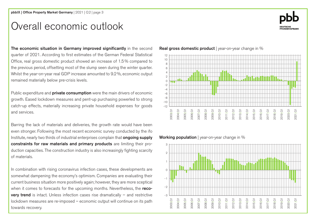# Overall economic outlook



The economic situation in Germany improved significantly in the second quarter of 2021. According to first estimates of the German Federal Statistical Office, real gross domestic product showed an increase of 1.5% compared to the previous period, offsetting most of the slump seen during the winter quarter. Whilst the year-on-year real GDP increase amounted to 9.2%, economic output remained materially below pre-crisis levels.

Public expenditure and **private consumption** were the main drivers of economic growth. Eased lockdown measures and pent-up purchasing powerled to strong catch-up effects, materially increasing private household expenses for goods and services.

Barring the lack of materials and deliveries, the growth rate would have been even stronger. Following the most recent economic survey conducted by the ifo Institute, nearly two thirds of industrial enterprises complain that **ongoing supply** constraints for raw materials and primary products are limiting their production capacities. The construction industry is also increasingly fighting scarcity of materials.

In combination with rising coronavirus infection cases, these developments are somewhat dampening the economy's optimism. Companies are evaluating their current business situation more positively again; however, they are more sceptical when it comes to forecasts for the upcoming months. Nevertheless, the reco**very trend** is intact. Unless infection cases rise dramatically  $-$  and restrictive lockdown measures are re-imposed – economic output will continue on its path towards recovery.



Working population | year-on-year change in %



Real gross domestic product | year-on-year change in %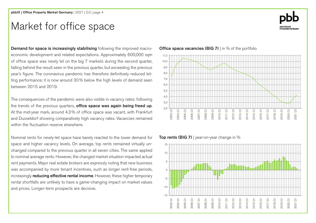# Market for office space

Demand for space is increasingly stabilising following the improved macroeconomic development and related expectations. Approximately 600,000 sqm of office space was newly let on the big 7 markets during the second quarter, falling behind the result seen in the previous quarter, but exceeding the previous year's figure. The coronavirus pandemic has therefore definitively reduced letting performance; it is now around 30% below the high levels of demand seen between 2015 and 2019.

The consequences of the pandemic were also visible in vacancy rates: following the trends of the previous quarters, **office space was again being freed up**. At the mid-year mark, around 4.3% of office space was vacant, with Frankfurt and Dusseldorf showing comparatively high vacancy rates. Vacancies remained within the fluctuation reserve elsewhere.

Nominal rents for newly-let space have barely reacted to the lower demand for space and higher vacancy levels. On average, top rents remained virtually unchanged compared to the previous quarter in all seven cities. The same applied to nominal average rents. However, the changed market situation impacted actual rent payments. Major real estate brokers are expressly noting that new business was accompanied by more tenant incentives, such as longer rent-free periods, increasingly **reducing effective rental income**. However, these higher temporary rental shortfalls are unlikely to have a game-changing impact on market values and prices. Longer-term prospects are decisive.

**Office space vacancies (BIG 7)** I in % of the portfolio



Top rents (BIG 7) | year-on-year change in  $%$ 



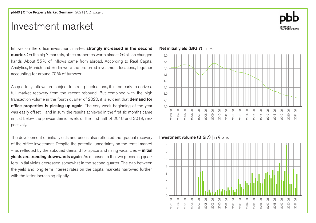# Investment market

Inflows on the office investment market strongly increased in the second quarter. On the big 7 markets, office properties worth almost €6 billion changed hands. About 55% of inflows came from abroad. According to Real Capital Analytics, Munich and Berlin were the preferred investment locations, together accounting for around 70% of turnover.

As quarterly inflows are subject to strong fluctuations, it is too early to derive a full market recovery from the recent rebound. But combined with the high transaction volume in the fourth quarter of 2020, it is evident that **demand for** office properties is picking up again. The very weak beginning of the year was easily offset – and in sum, the results achieved in the first six months came in just below the pre-pandemic levels of the first half of 2018 and 2019, respectively.

The development of initial yields and prices also reflected the gradual recovery of the office investment. Despite the potential uncertainty on the rental market – as reflected by the subdued demand for space and rising vacancies – *initial* yields are trending downwards again. As opposed to the two preceding quarters, initial yields decreased somewhat in the second quarter. The gap between the yield and long-term interest rates on the capital markets narrowed further, with the latter increasing slightly.

## Net initial yield (BIG 7) | in %



## Investment volume (BIG 7) | in € billion



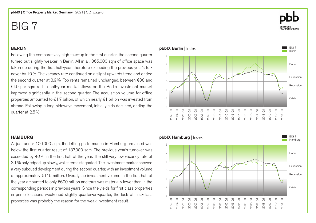## BERLIN

Following the comparatively high take-up in the first quarter, the second quarter turned out slightly weaker in Berlin. All in all, 365,000 sqm of office space was taken up during the first half-year, therefore exceeding the previous year's turnover by 10%. The vacancy rate continued on a slight upwards trend and ended the second quarter at 3.9%. Top rents remained unchanged, between €38 and €40 per sqm at the half-year mark. Inflows on the Berlin investment market improved significantly in the second quarter. The acquisition volume for office properties amounted to €1.7 billion, of which nearly €1 billion was invested from abroad. Following a long sideways movement, initial yields declined, ending the quarter at 2.5%.

## **HAMBURG**

At just under 100,000 sqm, the letting performance in Hamburg remained well below the first-quarter result of 137,000 sqm. The previous year's turnover was exceeded by 40% in the first half of the year. The still very low vacancy rate of 3.1% only edged up slowly, whilst rents stagnated. The investment market showed a very subdued development during the second quarter, with an investment volume of approximately €115 million. Overall, the investment volume in the first half of the year amounted to only €600 million and thus was materially lower than in the corresponding periods in previous years. Since the yields for first-class properties in prime locations weakened slightly quarter-on-quarter, the lack of first-class properties was probably the reason for the weak investment result.

**DEUTSCHE<br>PFANDBRIEFBANK** 



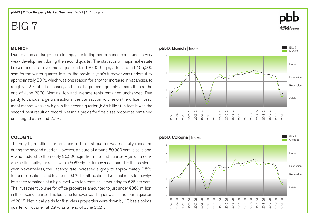## MUNICH

Due to a lack of large-scale lettings, the letting performance continued its very weak development during the second quarter. The statistics of major real estate brokers indicate a volume of just under 130,000 sqm, after around 105,000 sqm for the winter quarter. In sum, the previous year's turnover was undercut by approximately 30%, which was one reason for another increase in vacancies, to roughly 4.2% of office space, and thus 1.5 percentage points more than at the end of June 2020. Nominal top and average rents remained unchanged. Due partly to various large transactions, the transaction volume on the office investment market was very high in the second quarter ( $\epsilon$ 2.5 billion), in fact, it was the second-best result on record. Net initial yields for first-class properties remained unchanged at around 2.7%.

## COLOGNE

The very high letting performance of the first quarter was not fully repeated during the second quarter. However, a figure of around 60,000 sqm is solid and – when added to the nearly 90,000 sqm from the first quarter – yields a convincing first half-year result with a 50% higher turnover compared to the previous year. Nevertheless, the vacancy rate increased slightly to approximately 2.5% for prime locations and to around 3.5% for all locations. Nominal rents for newlylet space remained at a high level, with top rents still amounting to €26 per sqm. The investment volume for office properties amounted to just under €360 million in the second quarter. The last time turnover was higher was in the fourth quarter of 2019. Net initial yields for first-class properties were down by 10 basis points quarter-on-quarter, at 2.9% as at end of June 2021.

## pbbIX Munich | Index 2 1  $\Omega$ -1 -2 3

-3



2013|Q1 2014|Q1 2015|Q1 2016|Q1 2017|Q1 2018|Q1 2019|Q1

2012|Q1 2011|Q1 2010|Q1 2009|Q1 2008|Q1 2007|Q1 2006|Q1 2005|Q1 2004|Q1 2003|Q1

BIG 7 **Munich** 

Boom

Recession

Expansion

Crisis

2020|Q1 2021|Q1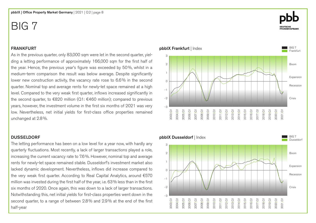## FRANKFURT

As in the previous quarter, only 83,000 sqm were let in the second quarter, yielding a letting performance of approximately 166,000 sqm for the first half of the year. Hence, the previous year's figure was exceeded by 50%, whilst in a medium-term comparison the result was below average. Despite significantly lower new construction activity, the vacancy rate rose to 6.6% in the second quarter. Nominal top and average rents for newly-let space remained at a high level. Compared to the very weak first quarter, inflows increased significantly in the second quarter, to  $\epsilon$ 820 million (Q1:  $\epsilon$ 460 million); compared to previous years, however, the investment volume in the first six months of 2021 was very low. Nevertheless, net initial yields for first-class office properties remained unchanged at 2.8%.

## DUSSELDORF

The letting performance has been on a low level for a year now, with hardly any quarterly fluctuations. Most recently, a lack of larger transactions played a role, increasing the current vacancy rate to 7.6%. However, nominal top and average rents for newly-let space remained stable. Dusseldorf's investment market also lacked dynamic development. Nevertheless, inflows did increase compared to the very weak first quarter. According to Real Capital Analytics, around €570 million was invested during the first half of the year, i.e. 63% less than in the first six months of 2020. Once again, this was down to a lack of larger transactions. Notwithstanding this, net initial yields for first-class properties went down in the second quarter, to a range of between 2.8% and 2.9% at the end of the first half-year





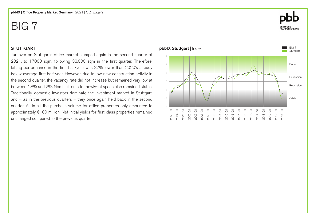## **STUTTGART**

Turnover on Stuttgart's office market slumped again in the second quarter of 2021, to 17,000 sqm, following 33,000 sqm in the first quarter. Therefore, letting performance in the first half-year was 37% lower than 2020's already below-average first half-year. However, due to low new construction activity in the second quarter, the vacancy rate did not increase but remained very low at between 1.8% and 2%. Nominal rents for newly-let space also remained stable. Traditionally, domestic investors dominate the investment market in Stuttgart, and  $-$  as in the previous quarters  $-$  they once again held back in the second quarter. All in all, the purchase volume for office properties only amounted to approximately €100 million. Net initial yields for first-class properties remained unchanged compared to the previous quarter.



# **DEUTSCHE<br>PFANDBRIEFBANK**